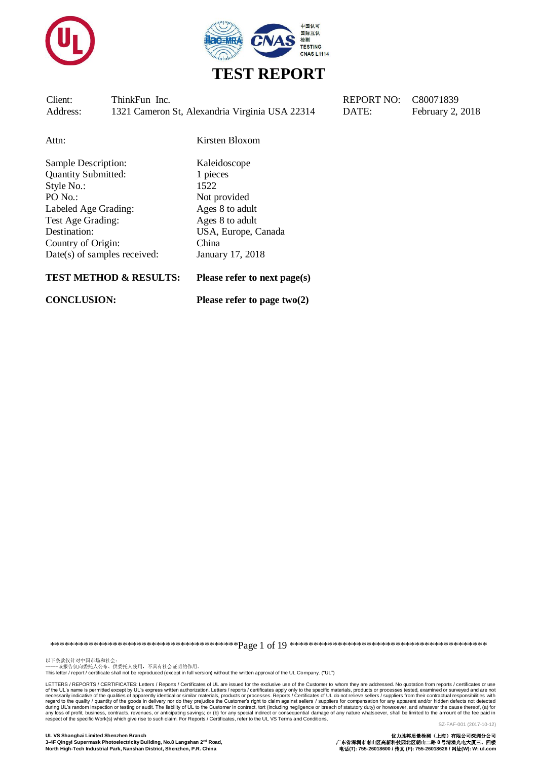



Attn: Kirsten Bloxom

Sample Description: Kaleidoscope Quantity Submitted: 1 pieces Style No.: 1522 PO No.: Not provided Labeled Age Grading: Ages 8 to adult Test Age Grading: Ages 8 to adult Destination: USA, Europe, Canada Country of Origin: China Date(s) of samples received: January 17, 2018

#### **TEST METHOD & RESULTS: Please refer to next page(s)**

**CONCLUSION: Please refer to page two(2)**

\*\*\*\*\*\*\*\*\*\*\*\*\*\*\*\*\*\*\*\*\*\*\*\*\*\*\*\*\*\*\*\*\*\*\*\*\*\*\*Page 1 of 19 \*\*\*\*\*\*\*\*\*\*\*\*\*\*\*\*\*\*\*\*\*\*\*\*\*\*\*\*\*\*\*\*\*\*\*\*\*\*\*\*\*

以下条款仅针对中国市场和社会:<br>-----该报告仅向委托人公布、供委托人使用,不具有社会证明的作用。 This letter / report / certificate shall not be reproduced (except in full version) without the written approval of the UL Company. ("UL")

LETTERS / REPORTS / CERTIFICATES: Letters / Reports / Certificates of UL are issued for the exclusive use of the Customer to whom they are addressed. No quotation from reports / certificates or use of the UL's name is permitted except by UL's express written authorization. Letters / reports / certificates apply only to the specific materials, products or processes tested, examined or surveyed and are not respective o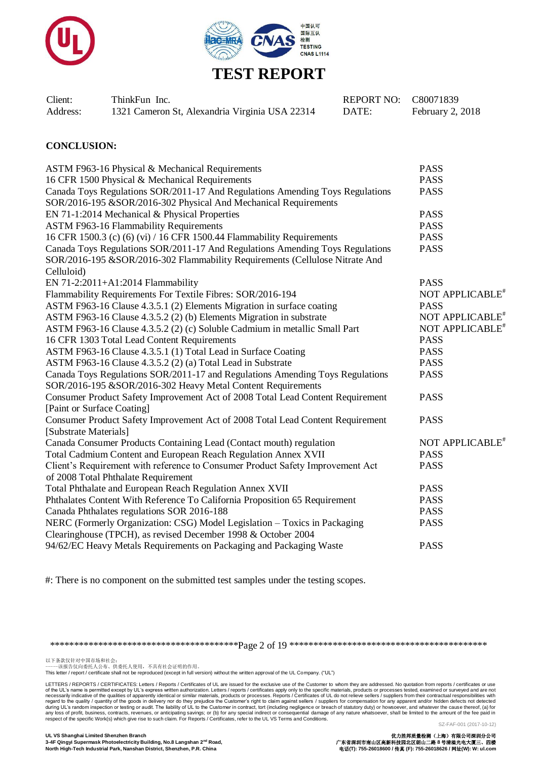



| Client:  | ThinkFun Inc.                                  | REPORT NO: C80071839 |                  |
|----------|------------------------------------------------|----------------------|------------------|
| Address: | 1321 Cameron St, Alexandria Virginia USA 22314 | DATE:                | February 2, 2018 |

#### **CONCLUSION:**

| ASTM F963-16 Physical & Mechanical Requirements                                | <b>PASS</b>                 |
|--------------------------------------------------------------------------------|-----------------------------|
| 16 CFR 1500 Physical & Mechanical Requirements                                 | <b>PASS</b>                 |
| Canada Toys Regulations SOR/2011-17 And Regulations Amending Toys Regulations  | <b>PASS</b>                 |
| SOR/2016-195 &SOR/2016-302 Physical And Mechanical Requirements                |                             |
| EN 71-1:2014 Mechanical & Physical Properties                                  | <b>PASS</b>                 |
| <b>ASTM F963-16 Flammability Requirements</b>                                  | <b>PASS</b>                 |
| 16 CFR 1500.3 (c) (6) (vi) / 16 CFR 1500.44 Flammability Requirements          | <b>PASS</b>                 |
| Canada Toys Regulations SOR/2011-17 And Regulations Amending Toys Regulations  | <b>PASS</b>                 |
| SOR/2016-195 &SOR/2016-302 Flammability Requirements (Cellulose Nitrate And    |                             |
| Celluloid)                                                                     |                             |
| EN 71-2:2011+A1:2014 Flammability                                              | <b>PASS</b>                 |
| Flammability Requirements For Textile Fibres: SOR/2016-194                     | NOT APPLICABLE <sup>*</sup> |
| ASTM F963-16 Clause 4.3.5.1 (2) Elements Migration in surface coating          | <b>PASS</b>                 |
| ASTM F963-16 Clause 4.3.5.2 (2) (b) Elements Migration in substrate            | NOT APPLICABLE <sup>*</sup> |
| ASTM F963-16 Clause 4.3.5.2 (2) (c) Soluble Cadmium in metallic Small Part     | NOT APPLICABLE <sup>#</sup> |
| 16 CFR 1303 Total Lead Content Requirements                                    | <b>PASS</b>                 |
| ASTM F963-16 Clause 4.3.5.1 (1) Total Lead in Surface Coating                  | <b>PASS</b>                 |
| ASTM F963-16 Clause 4.3.5.2 (2) (a) Total Lead in Substrate                    | <b>PASS</b>                 |
| Canada Toys Regulations SOR/2011-17 and Regulations Amending Toys Regulations  | <b>PASS</b>                 |
| SOR/2016-195 &SOR/2016-302 Heavy Metal Content Requirements                    |                             |
| Consumer Product Safety Improvement Act of 2008 Total Lead Content Requirement | <b>PASS</b>                 |
| [Paint or Surface Coating]                                                     |                             |
| Consumer Product Safety Improvement Act of 2008 Total Lead Content Requirement | <b>PASS</b>                 |
| [Substrate Materials]                                                          |                             |
| Canada Consumer Products Containing Lead (Contact mouth) regulation            | NOT APPLICABLE <sup>*</sup> |
| Total Cadmium Content and European Reach Regulation Annex XVII                 | <b>PASS</b>                 |
| Client's Requirement with reference to Consumer Product Safety Improvement Act | <b>PASS</b>                 |
| of 2008 Total Phthalate Requirement                                            |                             |
| Total Phthalate and European Reach Regulation Annex XVII                       | <b>PASS</b>                 |
| Phthalates Content With Reference To California Proposition 65 Requirement     | <b>PASS</b>                 |
| Canada Phthalates regulations SOR 2016-188                                     | <b>PASS</b>                 |
| NERC (Formerly Organization: CSG) Model Legislation - Toxics in Packaging      | <b>PASS</b>                 |
| Clearinghouse (TPCH), as revised December 1998 & October 2004                  |                             |
| 94/62/EC Heavy Metals Requirements on Packaging and Packaging Waste            | <b>PASS</b>                 |

#: There is no component on the submitted test samples under the testing scopes.

\*\*\*\*\*\*\*\*\*\*\*\*\*\*\*\*\*\*\*\*\*\*\*\*\*\*\*\*\*\*\*\*\*\*\*\*\*\*\*Page 2 of 19 \*\*\*\*\*\*\*\*\*\*\*\*\*\*\*\*\*\*\*\*\*\*\*\*\*\*\*\*\*\*\*\*\*\*\*\*\*\*\*\*\*

以下条款仅针对中国市场和社会:<br>-----该报告仅向委托人公布、供委托人使用,不具有社会证明的作用。

This letter / report / certificate shall not be reproduced (except in full version) without the written approval of the UL Company. ("UL")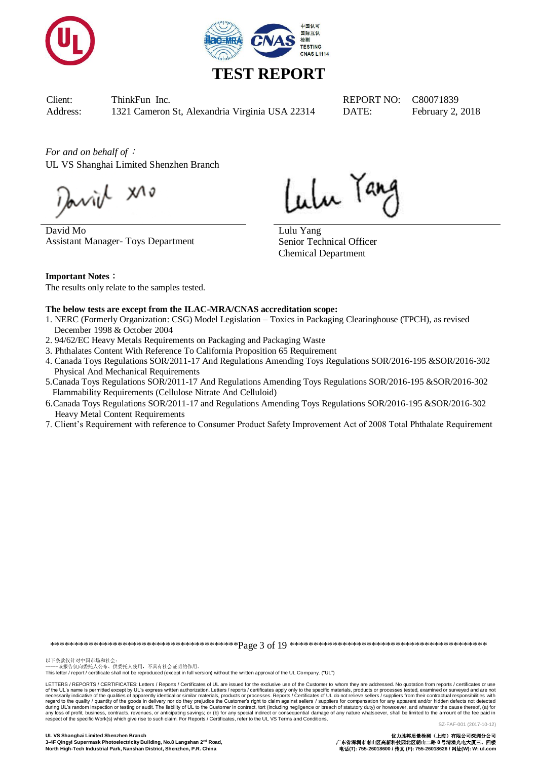



*For and on behalf of*: UL VS Shanghai Limited Shenzhen Branch

Javil XI

David Mo Assistant Manager- Toys Department

Lulu Tang

Lulu Yang Senior Technical Officer Chemical Department

**Important Notes**: The results only relate to the samples tested.

#### **The below tests are except from the ILAC-MRA/CNAS accreditation scope:**

- 1. NERC (Formerly Organization: CSG) Model Legislation Toxics in Packaging Clearinghouse (TPCH), as revised December 1998 & October 2004
- 2. 94/62/EC Heavy Metals Requirements on Packaging and Packaging Waste
- 3. Phthalates Content With Reference To California Proposition 65 Requirement
- 4. Canada Toys Regulations SOR/2011-17 And Regulations Amending Toys Regulations SOR/2016-195 &SOR/2016-302 Physical And Mechanical Requirements
- 5.Canada Toys Regulations SOR/2011-17 And Regulations Amending Toys Regulations SOR/2016-195 &SOR/2016-302 Flammability Requirements (Cellulose Nitrate And Celluloid)
- 6.Canada Toys Regulations SOR/2011-17 and Regulations Amending Toys Regulations SOR/2016-195 &SOR/2016-302 Heavy Metal Content Requirements
- 7. Client's Requirement with reference to Consumer Product Safety Improvement Act of 2008 Total Phthalate Requirement

\*\*\*\*\*\*\*\*\*\*\*\*\*\*\*\*\*\*\*\*\*\*\*\*\*\*\*\*\*\*\*\*\*\*\*\*\*\*\*Page 3 of 19 \*\*\*\*\*\*\*\*\*\*\*\*\*\*\*\*\*\*\*\*\*\*\*\*\*\*\*\*\*\*\*\*\*\*\*\*\*\*\*\*\*

以下条款仅针对中国市场和社会:<br>-----该报告仅向委托人公布、供委托人使用,不具有社会证明的作用。

This letter / report / certificate shall not be reproduced (except in full version) without the written approval of the UL Company. ("UL")

LETTERS / REPORTS / CERTIFICATES: Letters / Reports / Certificates of UL are issued for the exclusive use of the Customer to whom they are addressed. No quotation from reports / certificates or use of the UL's name is permitted except by UL's express written authorization. Letters / reports / certificates apply only to the specific materials, products or processes tested, examined or surveyed and are not necessarily indicative of the qualities of apparently identical or similar materials, products or processes. Reports / Certificates of UL do not relieve sellers / suppliers from their contractual responsibilities with<br>deri respect of the specific Work(s) which give rise to such claim. For Reports / Certificates, refer to the UL VS Terms and Conditions.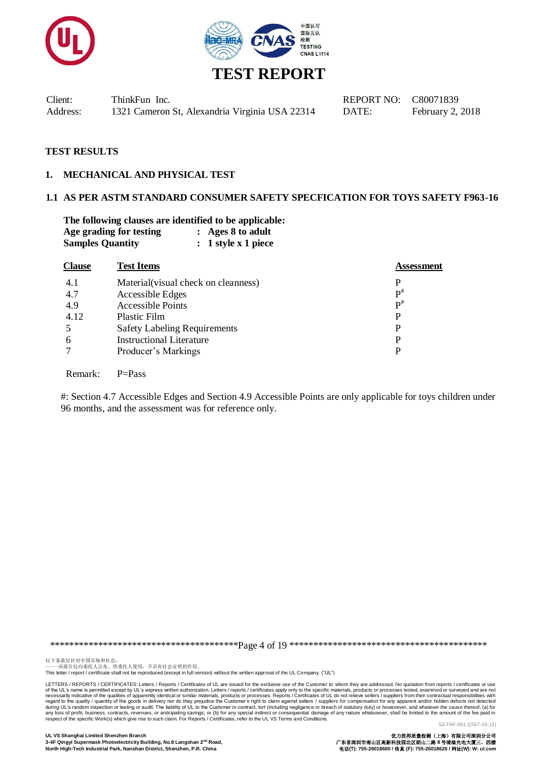



| Client:  | ThinkFun Inc.                                  |
|----------|------------------------------------------------|
| Address: | 1321 Cameron St, Alexandria Virginia USA 22314 |

#### **1. MECHANICAL AND PHYSICAL TEST**

#### **1.1 AS PER ASTM STANDARD CONSUMER SAFETY SPECFICATION FOR TOYS SAFETY F963-16**

**The following clauses are identified to be applicable: Age grading for testing : Ages 8 to adult Samples Quantity : 1 style x 1 piece**

| <b>Clause</b> | <b>Test Items</b>                   | <b>Assessment</b> |
|---------------|-------------------------------------|-------------------|
| 4.1           | Material(visual check on cleanness) | P                 |
| 4.7           | Accessible Edges                    | $\mathbf{p}^{\#}$ |
| 4.9           | <b>Accessible Points</b>            | $\mathbf{p}^{\#}$ |
| 4.12          | Plastic Film                        | P                 |
| .5            | <b>Safety Labeling Requirements</b> | P                 |
| 6             | <b>Instructional Literature</b>     | P                 |
| 7             | Producer's Markings                 |                   |
|               |                                     |                   |

Remark: P=Pass

#: Section 4.7 Accessible Edges and Section 4.9 Accessible Points are only applicable for toys children under 96 months, and the assessment was for reference only.

\*\*\*\*\*\*\*\*\*\*\*\*\*\*\*\*\*\*\*\*\*\*\*\*\*\*\*\*\*\*\*\*\*\*\*\*\*\*\*Page 4 of 19 \*\*\*\*\*\*\*\*\*\*\*\*\*\*\*\*\*\*\*\*\*\*\*\*\*\*\*\*\*\*\*\*\*\*\*\*\*\*\*\*\*

以下条款仅针对中国市场和社会:<br>-----该报告仅向委托人公布、供委托人使用,不具有社会证明的作用。

This letter / report / certificate shall not be reproduced (except in full version) without the written approval of the UL Company. ("UL")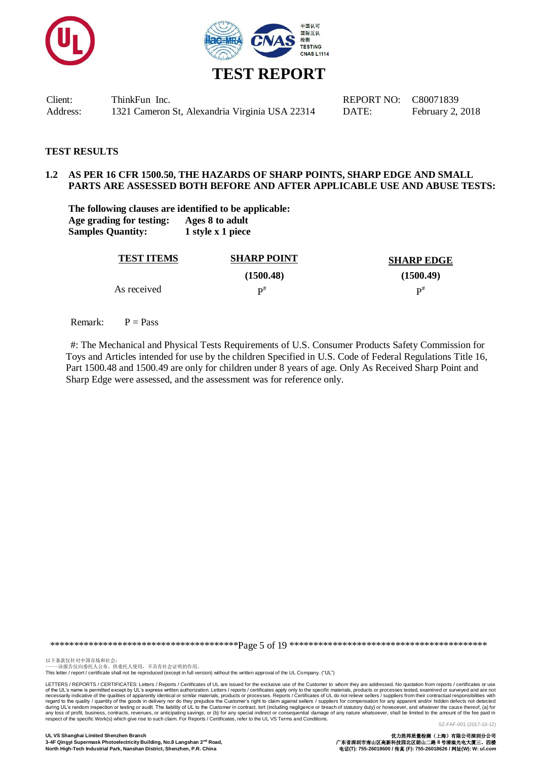



#### **TEST RESULTS**

#### **1.2 AS PER 16 CFR 1500.50, THE HAZARDS OF SHARP POINTS, SHARP EDGE AND SMALL PARTS ARE ASSESSED BOTH BEFORE AND AFTER APPLICABLE USE AND ABUSE TESTS:**

**The following clauses are identified to be applicable: Age grading for testing: Ages 8 to adult Samples Quantity: 1 style x 1 piece**

| <b>TEST ITEMS</b> | <b>SHARP POINT</b> | <b>SHARP EDGE</b> |
|-------------------|--------------------|-------------------|
|                   | (1500.48)          | (1500.49)         |
| As received       | D#                 | $\mathbf{D}^{\#}$ |

Remark:  $P = Pass$ 

#: The Mechanical and Physical Tests Requirements of U.S. Consumer Products Safety Commission for Toys and Articles intended for use by the children Specified in U.S. Code of Federal Regulations Title 16, Part 1500.48 and 1500.49 are only for children under 8 years of age. Only As Received Sharp Point and Sharp Edge were assessed, and the assessment was for reference only.

\*\*\*\*\*\*\*\*\*\*\*\*\*\*\*\*\*\*\*\*\*\*\*\*\*\*\*\*\*\*\*\*\*\*\*\*\*\*\*Page 5 of 19 \*\*\*\*\*\*\*\*\*\*\*\*\*\*\*\*\*\*\*\*\*\*\*\*\*\*\*\*\*\*\*\*\*\*\*\*\*\*\*\*\*

以下条款仅针对中国市场和社会:<br>-----该报告仅向委托人公布、供委托人使用,不具有社会证明的作用。 This letter / report / certificate shall not be reproduced (except in full version) without the written approval of the UL Company. ("UL")

LETTERS / REPORTS / CERTIFICATES: Letters / Reports / Certificates of UL are issued for the exclusive use of the Customer to whom they are addressed. No quotation from reports / certificates or use of the UL's name is permitted except by UL's express written authorization. Letters / reports / certificates apply only to the specific materials, products or processes tested, examined or surveyed and are not necessarily indicative of the qualities of apparently identical or similar materials, products or processes. Reports / Certificates of UL do not relieve sellers / suppliers from their contractual responsibilities with<br>deri respect of the specific Work(s) which give rise to such claim. For Reports / Certificates, refer to the UL VS Terms and Conditions.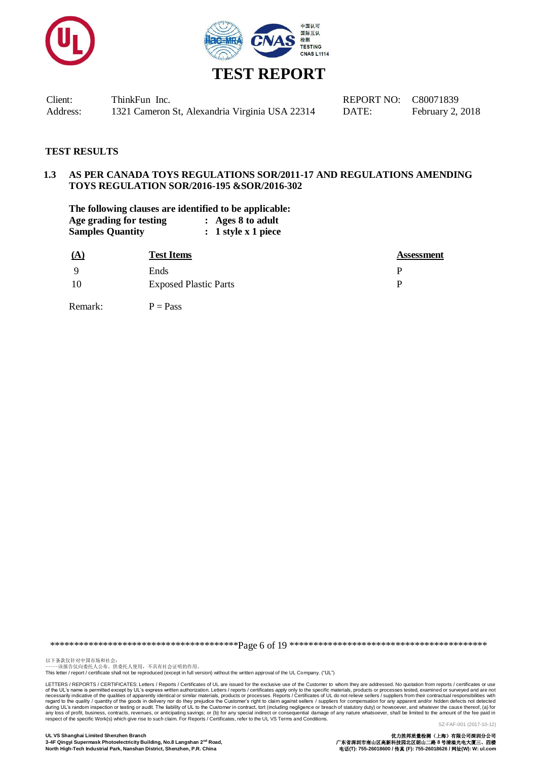



# **TEST REPORT**

Client: ThinkFun Inc. REPORT NO: C80071839 Address: 1321 Cameron St, Alexandria Virginia USA 22314 DATE: February 2, 2018

#### **TEST RESULTS**

#### **1.3 AS PER CANADA TOYS REGULATIONS SOR/2011-17 AND REGULATIONS AMENDING TOYS REGULATION SOR/2016-195 &SOR/2016-302**

**The following clauses are identified to be applicable: Age grading for testing : Ages 8 to adult Samples Quantity : 1 style x 1 piece**

| <u>(A</u> | <b>Test Items</b>            | <b>Assessment</b> |
|-----------|------------------------------|-------------------|
| Q         | Ends                         | D                 |
| -10       | <b>Exposed Plastic Parts</b> | D                 |

Remark:  $P = Pass$ 

\*\*\*\*\*\*\*\*\*\*\*\*\*\*\*\*\*\*\*\*\*\*\*\*\*\*\*\*\*\*\*\*\*\*\*\*\*\*\*Page 6 of 19 \*\*\*\*\*\*\*\*\*\*\*\*\*\*\*\*\*\*\*\*\*\*\*\*\*\*\*\*\*\*\*\*\*\*\*\*\*\*\*\*\*

以下条款仅针对中国市场和社会:<br>-----该报告仅向委托人公布、供委托人使用,不具有社会证明的作用。

This letter / report / certificate shall not be reproduced (except in full version) without the written approval of the UL Company. ("UL")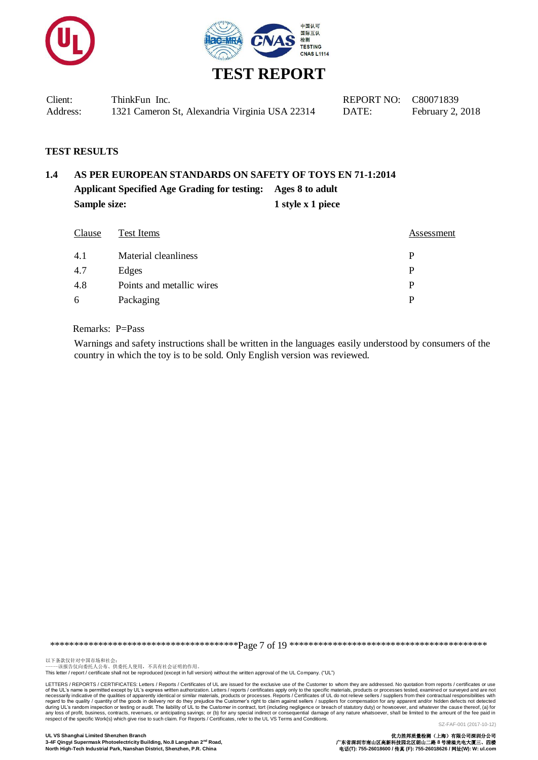



| Client:  | ThinkFun Inc.                                  | REPORT NO: C80071839 |                  |
|----------|------------------------------------------------|----------------------|------------------|
| Address: | 1321 Cameron St, Alexandria Virginia USA 22314 | DATE:                | February 2, 2018 |

# **1.4 AS PER EUROPEAN STANDARDS ON SAFETY OF TOYS EN 71-1:2014 Applicant Specified Age Grading for testing: Ages 8 to adult Sample size:** 1 style x 1 piece

| Clause | Test Items                | Assessment |
|--------|---------------------------|------------|
| 4.1    | Material cleanliness      | р          |
| 4.7    | Edges                     | P          |
| 4.8    | Points and metallic wires | P          |
| 6      | Packaging                 | D          |

Remarks: P=Pass

Warnings and safety instructions shall be written in the languages easily understood by consumers of the country in which the toy is to be sold. Only English version was reviewed.

\*\*\*\*\*\*\*\*\*\*\*\*\*\*\*\*\*\*\*\*\*\*\*\*\*\*\*\*\*\*\*\*\*\*\*\*\*\*\*Page 7 of 19 \*\*\*\*\*\*\*\*\*\*\*\*\*\*\*\*\*\*\*\*\*\*\*\*\*\*\*\*\*\*\*\*\*\*\*\*\*\*\*\*\*

以下条款仅针对中国市场和社会:<br>-----该报告仅向委托人公布、供委托人使用,不具有社会证明的作用。

This letter / report / certificate shall not be reproduced (except in full version) without the written approval of the UL Company. ("UL")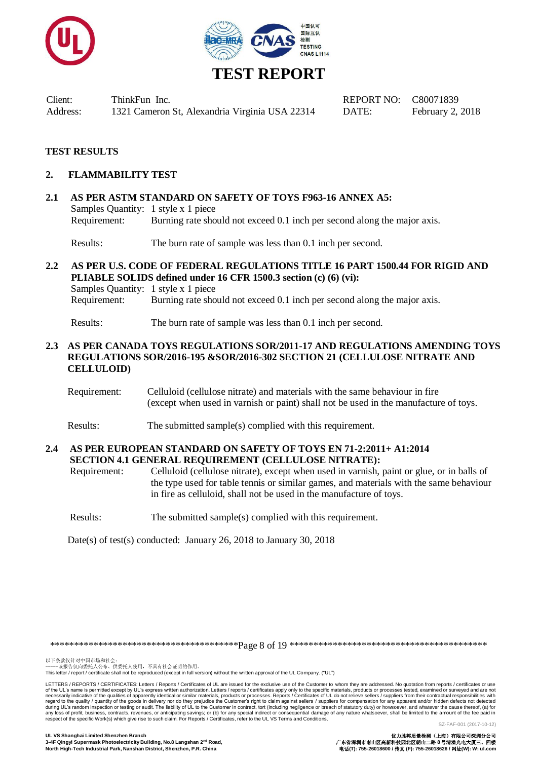



### **TEST RESULTS**

#### **2. FLAMMABILITY TEST**

**2.1 AS PER ASTM STANDARD ON SAFETY OF TOYS F963-16 ANNEX A5:** Samples Quantity: 1 style x 1 piece Requirement: Burning rate should not exceed 0.1 inch per second along the major axis.

Results: The burn rate of sample was less than 0.1 inch per second.

**2.2 AS PER U.S. CODE OF FEDERAL REGULATIONS TITLE 16 PART 1500.44 FOR RIGID AND PLIABLE SOLIDS defined under 16 CFR 1500.3 section (c) (6) (vi):** Samples Quantity: 1 style x 1 piece Requirement: Burning rate should not exceed 0.1 inch per second along the major axis.

Results: The burn rate of sample was less than 0.1 inch per second.

#### **2.3 AS PER CANADA TOYS REGULATIONS SOR/2011-17 AND REGULATIONS AMENDING TOYS REGULATIONS SOR/2016-195 &SOR/2016-302 SECTION 21 (CELLULOSE NITRATE AND CELLULOID)**

- Requirement: Celluloid (cellulose nitrate) and materials with the same behaviour in fire (except when used in varnish or paint) shall not be used in the manufacture of toys.
- Results: The submitted sample(s) complied with this requirement.

#### **2.4 AS PER EUROPEAN STANDARD ON SAFETY OF TOYS EN 71-2:2011+ A1:2014 SECTION 4.1 GENERAL REQUIREMENT (CELLULOSE NITRATE):**

Requirement: Celluloid (cellulose nitrate), except when used in varnish, paint or glue, or in balls of the type used for table tennis or similar games, and materials with the same behaviour in fire as celluloid, shall not be used in the manufacture of toys.

Results: The submitted sample(s) complied with this requirement.

Date(s) of test(s) conducted: January 26, 2018 to January 30, 2018

\*\*\*\*\*\*\*\*\*\*\*\*\*\*\*\*\*\*\*\*\*\*\*\*\*\*\*\*\*\*\*\*\*\*\*\*\*\*\*Page 8 of 19 \*\*\*\*\*\*\*\*\*\*\*\*\*\*\*\*\*\*\*\*\*\*\*\*\*\*\*\*\*\*\*\*\*\*\*\*\*\*\*\*\*

以下条款仅针对中国市场和社会:<br>-----该报告仅向委托人公布、供委托人使用,不具有社会证明的作用。

This letter / report / certificate shall not be reproduced (except in full version) without the written approval of the UL Company. ("UL")

LETTERS / REPORTS / CERTIFICATES: Letters / Reports / Certificates of UL are issued for the exclusive use of the Customer to whom they are addressed. No quotation from reports / certificates or use of the UL's name is permitted except by UL's express written authorization. Letters / reports / certificates apply only to the specific materials, products or processes tested, examined or surveyed and are not necessarily indicative of the qualities of apparently identical or similar materials, products or processes. Reports / Certificates of UL do not relieve sellers / suppliers from their contractual responsibilities with<br>deri respect of the specific Work(s) which give rise to such claim. For Reports / Certificates, refer to the UL VS Terms and Conditions.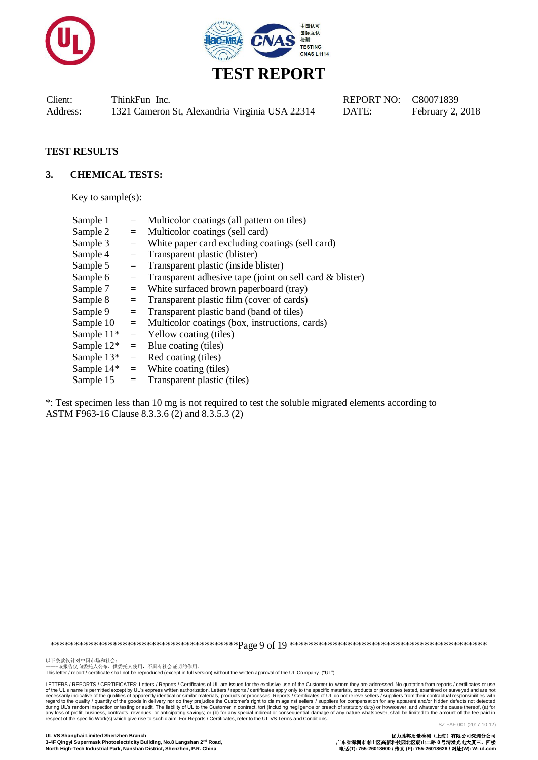



#### **TEST RESULTS**

#### **3. CHEMICAL TESTS:**

Key to sample $(s)$ :

| Sample 1      | $=$      | Multicolor coatings (all pattern on tiles)                  |
|---------------|----------|-------------------------------------------------------------|
| Sample 2      | $=$      | Multicolor coatings (sell card)                             |
| Sample 3      | $\equiv$ | White paper card excluding coatings (sell card)             |
| Sample 4      | $\equiv$ | Transparent plastic (blister)                               |
| Sample 5      | $=$      | Transparent plastic (inside blister)                        |
| Sample 6      | $=$      | Transparent adhesive tape (joint on sell card $\&$ blister) |
| Sample 7      | $=$      | White surfaced brown paperboard (tray)                      |
| Sample 8      | $=$      | Transparent plastic film (cover of cards)                   |
| Sample 9      | $=$      | Transparent plastic band (band of tiles)                    |
| Sample 10     | $=$      | Multicolor coatings (box, instructions, cards)              |
| Sample $11*$  | $=$      | Yellow coating (tiles)                                      |
| Sample $12^*$ | $=$      | Blue coating (tiles)                                        |
| Sample $13*$  | $=$      | Red coating (tiles)                                         |
| Sample 14*    | $=$      | White coating (tiles)                                       |
| Sample 15     | $\equiv$ | Transparent plastic (tiles)                                 |
|               |          |                                                             |

\*: Test specimen less than 10 mg is not required to test the soluble migrated elements according to ASTM F963-16 Clause 8.3.3.6 (2) and 8.3.5.3 (2)

\*\*\*\*\*\*\*\*\*\*\*\*\*\*\*\*\*\*\*\*\*\*\*\*\*\*\*\*\*\*\*\*\*\*\*\*\*\*\*Page 9 of 19 \*\*\*\*\*\*\*\*\*\*\*\*\*\*\*\*\*\*\*\*\*\*\*\*\*\*\*\*\*\*\*\*\*\*\*\*\*\*\*\*\*

以下条款仅针对中国市场和社会:<br>-----该报告仅向委托人公布、供委托人使用,不具有社会证明的作用。

This letter / report / certificate shall not be reproduced (except in full version) without the written approval of the UL Company. ("UL")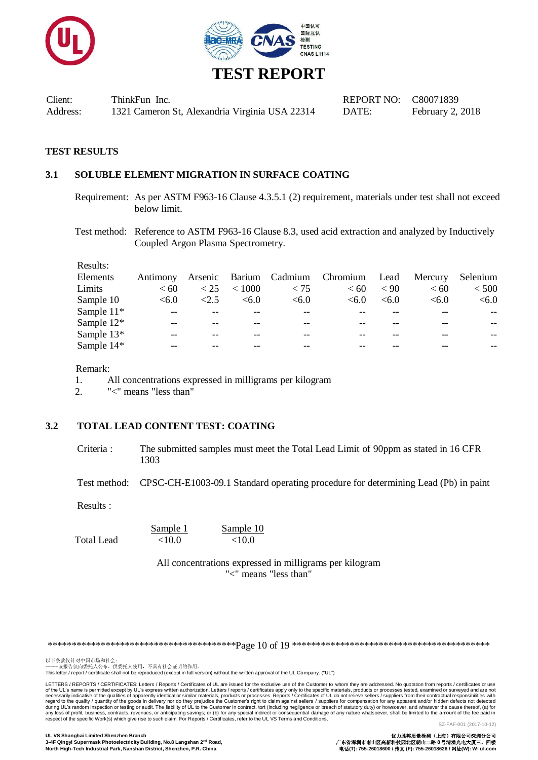



#### **TEST RESULTS**

#### **3.1 SOLUBLE ELEMENT MIGRATION IN SURFACE COATING**

- Requirement: As per ASTM F963-16 Clause 4.3.5.1 (2) requirement, materials under test shall not exceed below limit.
- Test method: Reference to ASTM F963-16 Clause 8.3, used acid extraction and analyzed by Inductively Coupled Argon Plasma Spectrometry.

Results:

| Elements     |       |          |        |      | Antimony Arsenic Barium Cadmium Chromium Lead Mercury Selenium |           |       |       |
|--------------|-------|----------|--------|------|----------------------------------------------------------------|-----------|-------|-------|
| Limits       | < 60  | $<$ 25   | < 1000 | < 75 | < 60                                                           | $\leq 90$ | < 60  | < 500 |
| Sample 10    | < 6.0 | ${<}2.5$ | < 6.0  | <6.0 | < 6.0                                                          | < 6.0     | < 6.0 | < 6.0 |
| Sample $11*$ |       |          |        |      |                                                                |           |       | $- -$ |
| Sample $12*$ | --    |          |        | $ -$ |                                                                |           |       | $- -$ |
| Sample $13*$ |       |          |        |      |                                                                |           |       | $- -$ |
| Sample $14*$ |       |          |        |      |                                                                |           |       |       |

Remark:

1. All concentrations expressed in milligrams per kilogram

2. "<" means "less than"

## **3.2 TOTAL LEAD CONTENT TEST: COATING**

Criteria : The submitted samples must meet the Total Lead Limit of 90ppm as stated in 16 CFR 1303

Test method: CPSC-CH-E1003-09.1 Standard operating procedure for determining Lead (Pb) in paint

Results :

Total Lead <10.0 <10.0

 $\frac{\text{Sample 1}}{\text{10.0}}$   $\frac{\text{Sample 10}}{\text{10.0}}$ 

All concentrations expressed in milligrams per kilogram "<" means "less than"

\*\*\*\*\*\*\*\*\*\*\*\*\*\*\*\*\*\*\*\*\*\*\*\*\*\*\*\*\*\*\*\*\*\*\*\*\*\*\*Page 10 of 19 \*\*\*\*\*\*\*\*\*\*\*\*\*\*\*\*\*\*\*\*\*\*\*\*\*\*\*\*\*\*\*\*\*\*\*\*\*\*\*\*\*

以下条款仅针对中国市场和社会:<br>-----该报告仅向委托人公布、供委托人使用,不具有社会证明的作用。

This letter / report / certificate shall not be reproduced (except in full version) without the written approval of the UL Company. ("UL")

LETTERS / REPORTS / CERTIFICATES: Letters / Reports / Certificates of UL are issued for the exclusive use of the Customer to whom they are addressed. No quotation from reports / certificates or use of the UL's name is permitted except by UL's express written authorization. Letters / reports / certificates apply only to the specific materials, products or processes tested, examined or surveyed and are not necessarily indicative of the qualities of apparently identical or similar materials, products or processes. Reports / Certificates of UL do not relieve sellers / suppliers from their contractual responsibilities with<br>deri respect of the specific Work(s) which give rise to such claim. For Reports / Certificates, refer to the UL VS Terms and Conditions.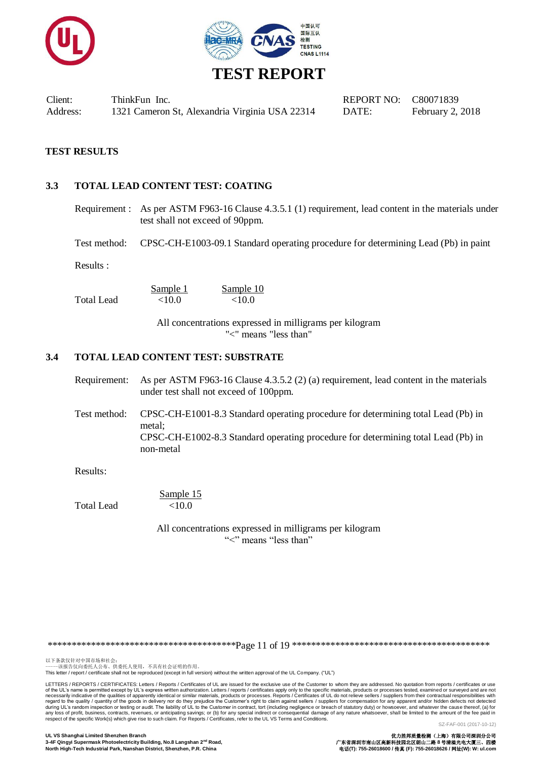



#### **TEST RESULTS**

#### **3.3 TOTAL LEAD CONTENT TEST: COATING**

Requirement : As per ASTM F963-16 Clause 4.3.5.1 (1) requirement, lead content in the materials under test shall not exceed of 90ppm.

Test method: CPSC-CH-E1003-09.1 Standard operating procedure for determining Lead (Pb) in paint

Results :

Sample 1 Sample 10 Total Lead  $<10.0$   $<10.0$ 

> All concentrations expressed in milligrams per kilogram "<" means "less than"

#### **3.4 TOTAL LEAD CONTENT TEST: SUBSTRATE**

- Requirement: As per ASTM F963-16 Clause 4.3.5.2 (2) (a) requirement, lead content in the materials under test shall not exceed of 100ppm.
- Test method: CPSC-CH-E1001-8.3 Standard operating procedure for determining total Lead (Pb) in metal; CPSC-CH-E1002-8.3 Standard operating procedure for determining total Lead (Pb) in non-metal

Results:

Sample 15 Total Lead <10.0

> All concentrations expressed in milligrams per kilogram "<" means "less than"

\*\*\*\*\*\*\*\*\*\*\*\*\*\*\*\*\*\*\*\*\*\*\*\*\*\*\*\*\*\*\*\*\*\*\*\*\*\*\*Page 11 of 19 \*\*\*\*\*\*\*\*\*\*\*\*\*\*\*\*\*\*\*\*\*\*\*\*\*\*\*\*\*\*\*\*\*\*\*\*\*\*\*\*\*

以下条款仅针对中国市场和社会:<br>-----该报告仅向委托人公布、供委托人使用,不具有社会证明的作用。

This letter / report / certificate shall not be reproduced (except in full version) without the written approval of the UL Company. ("UL")

LETTERS / REPORTS / CERTIFICATES: Letters / Reports / Certificates of UL are issued for the exclusive use of the Customer to whom they are addressed. No quotation from reports / certificates or use of the UL's name is permitted except by UL's express written authorization. Letters / reports / certificates apply only to the specific materials, products or processes tested, examined or surveyed and are not necessarily indicative of the qualities of apparently identical or similar materials, products or processes. Reports / Certificates of UL do not relieve sellers / suppliers from their contractual responsibilities with<br>deri respect of the specific Work(s) which give rise to such claim. For Reports / Certificates, refer to the UL VS Terms and Conditions.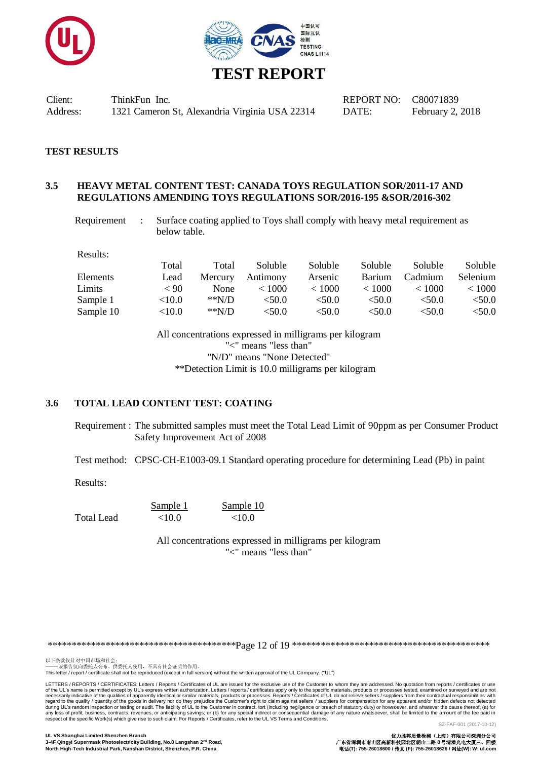



#### **TEST RESULTS**

#### **3.5 HEAVY METAL CONTENT TEST: CANADA TOYS REGULATION SOR/2011-17 AND REGULATIONS AMENDING TOYS REGULATIONS SOR/2016-195 &SOR/2016-302**

Requirement : Surface coating applied to Toys shall comply with heavy metal requirement as below table.

Results:

|           | Total     | Total   | Soluble  | Soluble   | <b>Soluble</b> | Soluble | Soluble    |
|-----------|-----------|---------|----------|-----------|----------------|---------|------------|
| Elements  | Lead      | Mercury | Antimony | Arsenic   | <b>Barium</b>  | Cadmium | Selenium   |
| Limits    | < 90      | None    | < 1000   | < 1000    | < 1000         | < 1000  | ${}< 1000$ |
| Sample 1  | ${<}10.0$ | $*N/D$  | < 50.0   | ${<}50.0$ | <50.0          | <50.0   | < 50.0     |
| Sample 10 | <10.0     | $*N/D$  | <50.0    | < 50.0    | <50.0          | < 50.0  | ${<}50.0$  |

All concentrations expressed in milligrams per kilogram "<" means "less than" "N/D" means "None Detected" \*\*Detection Limit is 10.0 milligrams per kilogram

#### **3.6 TOTAL LEAD CONTENT TEST: COATING**

Requirement : The submitted samples must meet the Total Lead Limit of 90ppm as per Consumer Product Safety Improvement Act of 2008

Test method: CPSC-CH-E1003-09.1 Standard operating procedure for determining Lead (Pb) in paint

Results:

Sample 1 Sample 10 Total Lead  $\leq 10.0$   $\leq 10.0$ 

> All concentrations expressed in milligrams per kilogram "<" means "less than"

\*\*\*\*\*\*\*\*\*\*\*\*\*\*\*\*\*\*\*\*\*\*\*\*\*\*\*\*\*\*\*\*\*\*\*\*\*\*\*Page 12 of 19 \*\*\*\*\*\*\*\*\*\*\*\*\*\*\*\*\*\*\*\*\*\*\*\*\*\*\*\*\*\*\*\*\*\*\*\*\*\*\*\*\*

以下条款仅针对中国市场和社会:<br>-----该报告仅向委托人公布、供委托人使用,不具有社会证明的作用。

This letter / report / certificate shall not be reproduced (except in full version) without the written approval of the UL Company. ("UL")

LETTERS / REPORTS / CERTIFICATES: Letters / Reports / Certificates of UL are issued for the exclusive use of the Customer to whom they are addressed. No quotation from reports / certificates or use of the UL's name is permitted except by UL's express written authorization. Letters / reports / certificates apply only to the specific materials, products or processes tested, examined or surveyed and are not necessarily indicative of the qualities of apparently identical or similar materials, products or processes. Reports / Certificates of UL do not relieve sellers / suppliers from their contractual responsibilities with<br>deri respect of the specific Work(s) which give rise to such claim. For Reports / Certificates, refer to the UL VS Terms and Conditions.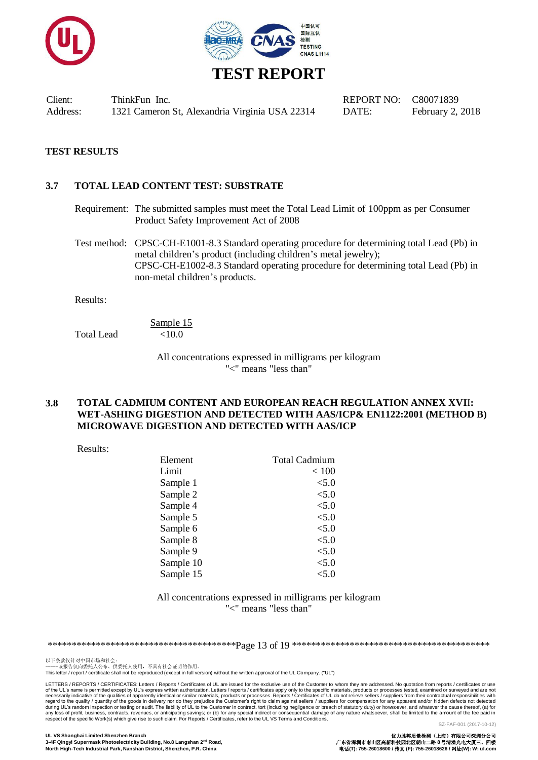



#### **TEST RESULTS**

#### **3.7 TOTAL LEAD CONTENT TEST: SUBSTRATE**

Requirement: The submitted samples must meet the Total Lead Limit of 100ppm as per Consumer Product Safety Improvement Act of 2008

Test method: CPSC-CH-E1001-8.3 Standard operating procedure for determining total Lead (Pb) in metal children's product (including children's metal jewelry); CPSC-CH-E1002-8.3 Standard operating procedure for determining total Lead (Pb) in non-metal children's products.

Results:

Sample 15 Total Lead <10.0

> All concentrations expressed in milligrams per kilogram "<" means "less than"

#### **3.8 TOTAL CADMIUM CONTENT AND EUROPEAN REACH REGULATION ANNEX XVI**I**: WET-ASHING DIGESTION AND DETECTED WITH AAS/ICP& EN1122:2001 (METHOD B) MICROWAVE DIGESTION AND DETECTED WITH AAS/ICP**

Results:

| Element   | <b>Total Cadmium</b> |
|-----------|----------------------|
| Limit     | < 100                |
| Sample 1  | < 5.0                |
| Sample 2  | < 5.0                |
| Sample 4  | < 5.0                |
| Sample 5  | < 5.0                |
| Sample 6  | < 5.0                |
| Sample 8  | < 5.0                |
| Sample 9  | < 5.0                |
| Sample 10 | < 5.0                |
| Sample 15 | < 5.0                |

#### All concentrations expressed in milligrams per kilogram "<" means "less than"

\*\*\*\*\*\*\*\*\*\*\*\*\*\*\*\*\*\*\*\*\*\*\*\*\*\*\*\*\*\*\*\*\*\*\*\*\*\*\*Page 13 of 19 \*\*\*\*\*\*\*\*\*\*\*\*\*\*\*\*\*\*\*\*\*\*\*\*\*\*\*\*\*\*\*\*\*\*\*\*\*\*\*\*\*

以下条款仅针对中国市场和社会:<br>-----该报告仅向委托人公布、供委托人使用,不具有社会证明的作用。

This letter / report / certificate shall not be reproduced (except in full version) without the written approval of the UL Company. ("UL")

LETTERS / REPORTS / CERTIFICATES: Letters / Reports / Certificates of UL are issued for the exclusive use of the Customer to whom they are addressed. No quotation from reports / certificates or use of the UL's name is permitted except by UL's express written authorization. Letters / reports / certificates apply only to the specific materials, products or processes tested, examined or surveyed and are not necessarily indicative of the qualities of apparently identical or similar materials, products or processes. Reports / Certificates of UL do not relieve sellers / suppliers from their contractual responsibilities with<br>deri respect of the specific Work(s) which give rise to such claim. For Reports / Certificates, refer to the UL VS Terms and Conditions.

**UL VS Shanghai Limited Shenzhen Branch** 优力胜邦质量检测(上海)有限公司深圳分公司 3-4F Qingyi Supermask Photoelectricity Building, No.8 Langshan 2<sup>nd</sup> Road,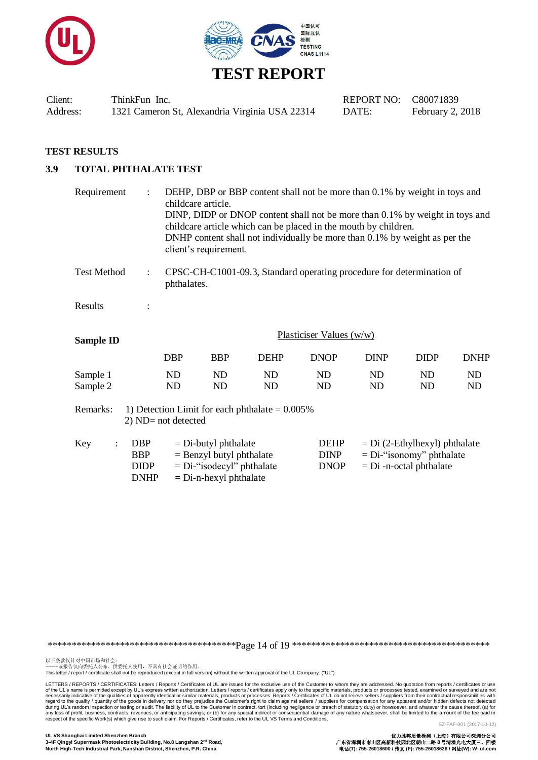



#### **TEST RESULTS**

## **3.9 TOTAL PHTHALATE TEST**

| Requirement          | $\ddot{\cdot}$                                         | DEHP, DBP or BBP content shall not be more than 0.1% by weight in toys and<br>childcare article.<br>DINP, DIDP or DNOP content shall not be more than 0.1% by weight in toys and<br>childcare article which can be placed in the mouth by children.<br>DNHP content shall not individually be more than 0.1% by weight as per the<br>client's requirement. |                                                                                                                  |                                                   |                                                                       |                 |                                                                                             |                 |
|----------------------|--------------------------------------------------------|------------------------------------------------------------------------------------------------------------------------------------------------------------------------------------------------------------------------------------------------------------------------------------------------------------------------------------------------------------|------------------------------------------------------------------------------------------------------------------|---------------------------------------------------|-----------------------------------------------------------------------|-----------------|---------------------------------------------------------------------------------------------|-----------------|
| <b>Test Method</b>   | $\ddot{\cdot}$                                         | phthalates.                                                                                                                                                                                                                                                                                                                                                |                                                                                                                  |                                                   | CPSC-CH-C1001-09.3, Standard operating procedure for determination of |                 |                                                                                             |                 |
| Results              | $\ddot{\cdot}$                                         |                                                                                                                                                                                                                                                                                                                                                            |                                                                                                                  |                                                   |                                                                       |                 |                                                                                             |                 |
| <b>Sample ID</b>     |                                                        |                                                                                                                                                                                                                                                                                                                                                            |                                                                                                                  |                                                   | Plasticiser Values (w/w)                                              |                 |                                                                                             |                 |
|                      |                                                        | <b>DBP</b>                                                                                                                                                                                                                                                                                                                                                 | <b>BBP</b>                                                                                                       | <b>DEHP</b>                                       | <b>DNOP</b>                                                           | <b>DINP</b>     | <b>DIDP</b>                                                                                 | <b>DNHP</b>     |
| Sample 1<br>Sample 2 |                                                        | ND<br>ND                                                                                                                                                                                                                                                                                                                                                   | ND<br>ND                                                                                                         | ND<br>ND                                          | <b>ND</b><br><b>ND</b>                                                | ND<br><b>ND</b> | ND<br>ND                                                                                    | ND<br><b>ND</b> |
| Remarks:             |                                                        | 2) ND= not detected                                                                                                                                                                                                                                                                                                                                        |                                                                                                                  | 1) Detection Limit for each phthalate $= 0.005\%$ |                                                                       |                 |                                                                                             |                 |
| Key                  | <b>DBP</b><br><b>BBP</b><br><b>DIDP</b><br><b>DNHP</b> |                                                                                                                                                                                                                                                                                                                                                            | $=$ Di-butyl phthalate<br>$=$ Benzyl butyl phthalate<br>$= Di$ -"isodecyl" phthalate<br>$=$ Di-n-hexyl phthalate |                                                   | <b>DEHP</b><br><b>DINP</b><br><b>DNOP</b>                             |                 | $= Di (2-Ethylhexyl)$ phthalate<br>$= Di$ -"isonomy" phthalate<br>$= Di$ -n-octal phthalate |                 |

\*\*\*\*\*\*\*\*\*\*\*\*\*\*\*\*\*\*\*\*\*\*\*\*\*\*\*\*\*\*\*\*\*\*\*\*\*\*\*Page 14 of 19 \*\*\*\*\*\*\*\*\*\*\*\*\*\*\*\*\*\*\*\*\*\*\*\*\*\*\*\*\*\*\*\*\*\*\*\*\*\*\*\*\*

以下条款仅针对中国市场和社会:<br>-----该报告仅向委托人公布、供委托人使用,不具有社会证明的作用。

This letter / report / certificate shall not be reproduced (except in full version) without the written approval of the UL Company. ("UL")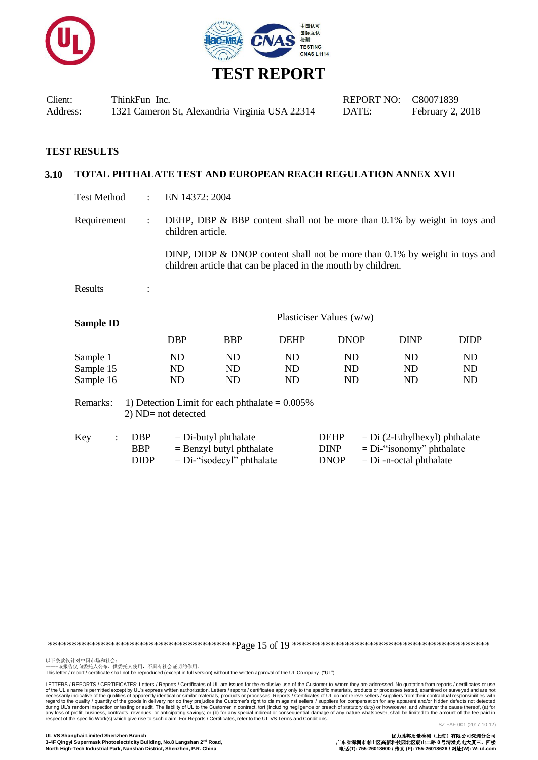



| Client:  | ThinkFun Inc.                                  |
|----------|------------------------------------------------|
| Address: | 1321 Cameron St, Alexandria Virginia USA 22314 |

#### **3.10 TOTAL PHTHALATE TEST AND EUROPEAN REACH REGULATION ANNEX XVI**I

Test Method : EN 14372: 2004

Requirement : DEHP, DBP  $\&$  BBP content shall not be more than 0.1% by weight in toys and children article.

> DINP, DIDP & DNOP content shall not be more than 0.1% by weight in toys and children article that can be placed in the mouth by children.

Results :

| <b>Sample ID</b> | Plasticiser Values $(w/w)$ |            |             |             |             |             |  |
|------------------|----------------------------|------------|-------------|-------------|-------------|-------------|--|
|                  | <b>DBP</b>                 | <b>BBP</b> | <b>DEHP</b> | <b>DNOP</b> | <b>DINP</b> | <b>DIDP</b> |  |
| Sample 1         | ND                         | ND         | ND          | ND          | ND          | ND          |  |
| Sample 15        | ${\rm ND}$                 | ND         | ND          | ND          | ND          | ND          |  |
| Sample 16        | ND                         | ND         | ND          | ND          | ND          | ND          |  |

Remarks: 1) Detection Limit for each phthalate  $= 0.005\%$ 2) ND= not detected

| Key | <b>DBP</b> | $=$ Di-butyl phthalate       | <b>DEHP</b> | $= Di (2-Ethylhexyl)$ phthalate |
|-----|------------|------------------------------|-------------|---------------------------------|
|     | <b>BBP</b> | $=$ Benzyl butyl phthalate   | <b>DINP</b> | $= Di$ -"isonomy" phthalate     |
|     | DIDP       | $= Di$ -"isodecyl" phthalate | <b>DNOP</b> | $= Di$ -n-octal phthalate       |

\*\*\*\*\*\*\*\*\*\*\*\*\*\*\*\*\*\*\*\*\*\*\*\*\*\*\*\*\*\*\*\*\*\*\*\*\*\*\*Page 15 of 19 \*\*\*\*\*\*\*\*\*\*\*\*\*\*\*\*\*\*\*\*\*\*\*\*\*\*\*\*\*\*\*\*\*\*\*\*\*\*\*\*\*

以下条款仅针对中国市场和社会:<br>-----该报告仅向委托人公布、供委托人使用,不具有社会证明的作用。

This letter / report / certificate shall not be reproduced (except in full version) without the written approval of the UL Company. ("UL")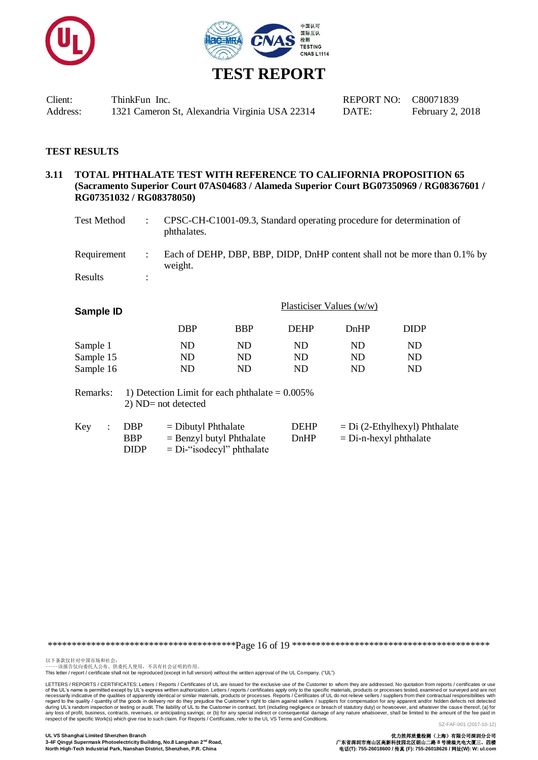



| Client:  | ThinkFun Inc.                                  |
|----------|------------------------------------------------|
| Address: | 1321 Cameron St, Alexandria Virginia USA 22314 |

#### **3.11 TOTAL PHTHALATE TEST WITH REFERENCE TO CALIFORNIA PROPOSITION 65 (Sacramento Superior Court 07AS04683 / Alameda Superior Court BG07350969 / RG08367601 / RG07351032 / RG08378050)**

| Test Method |   | CPSC-CH-C1001-09.3, Standard operating procedure for determination of<br>phthalates. |
|-------------|---|--------------------------------------------------------------------------------------|
| Requirement |   | Each of DEHP, DBP, BBP, DIDP, DnHP content shall not be more than 0.1% by<br>weight. |
| Results     | ٠ |                                                                                      |

| Sample ID |            | Plasticiser Values $(w/w)$ |             |      |             |
|-----------|------------|----------------------------|-------------|------|-------------|
|           | <b>DBP</b> | <b>BBP</b>                 | <b>DEHP</b> | DnHP | <b>DIDP</b> |
| Sample 1  | ND         | ND                         | ND          | ND   | ND          |
| Sample 15 | ND         | ND                         | ND          | ND   | ND          |
| Sample 16 | ND         | ND                         | ND          | ND   | ND          |

Remarks: 1) Detection Limit for each phthalate  $= 0.005\%$ 2) ND= not detected

| Key | DBP         | $=$ Dibutyl Phthalate        | <b>DEHP</b> | $= Di (2-Ethylhexyl) Phthalate$ |
|-----|-------------|------------------------------|-------------|---------------------------------|
|     | <b>BBP</b>  | $=$ Benzyl butyl Phthalate   | DnHP        | $=$ Di-n-hexyl phthalate        |
|     | <b>DIDP</b> | $= Di$ -"isodecyl" phthalate |             |                                 |

\*\*\*\*\*\*\*\*\*\*\*\*\*\*\*\*\*\*\*\*\*\*\*\*\*\*\*\*\*\*\*\*\*\*\*\*\*\*\*Page 16 of 19 \*\*\*\*\*\*\*\*\*\*\*\*\*\*\*\*\*\*\*\*\*\*\*\*\*\*\*\*\*\*\*\*\*\*\*\*\*\*\*\*\*

以下条款仅针对中国市场和社会:<br>-----该报告仅向委托人公布、供委托人使用,不具有社会证明的作用。

This letter / report / certificate shall not be reproduced (except in full version) without the written approval of the UL Company. ("UL")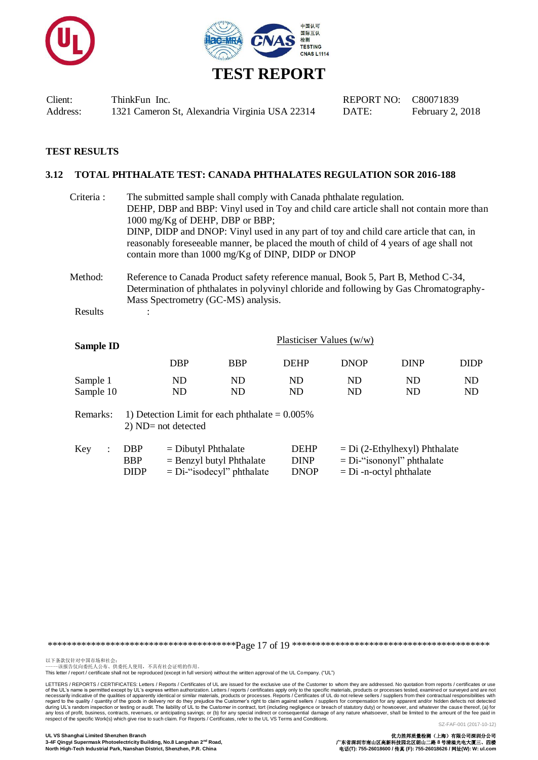



### **TEST RESULTS**

#### **3.12 TOTAL PHTHALATE TEST: CANADA PHTHALATES REGULATION SOR 2016-188**

| Criteria : | The submitted sample shall comply with Canada phthalate regulation.<br>DEHP, DBP and BBP: Vinyl used in Toy and child care article shall not contain more than<br>1000 mg/Kg of DEHP, DBP or BBP;<br>DINP, DIDP and DNOP: Vinyl used in any part of toy and child care article that can, in<br>reasonably foreseeable manner, be placed the mouth of child of 4 years of age shall not<br>contain more than 1000 mg/Kg of DINP, DIDP or DNOP |
|------------|----------------------------------------------------------------------------------------------------------------------------------------------------------------------------------------------------------------------------------------------------------------------------------------------------------------------------------------------------------------------------------------------------------------------------------------------|
| Method:    | Reference to Canada Product safety reference manual, Book 5, Part B, Method C-34,<br>Determination of phthalates in polyvinyl chloride and following by Gas Chromatography-<br>Mass Spectrometry (GC-MS) analysis.                                                                                                                                                                                                                           |
| Results    |                                                                                                                                                                                                                                                                                                                                                                                                                                              |
|            | Plasticiser Values $(w/w)$                                                                                                                                                                                                                                                                                                                                                                                                                   |

| Sample ID |            |     | .           |             |             |      |
|-----------|------------|-----|-------------|-------------|-------------|------|
|           | <b>DBP</b> | BBP | <b>DEHP</b> | <b>DNOP</b> | <b>DINP</b> | DIDP |
| Sample 1  | ND         | ND  | ${\rm ND}$  | ND          | ND          | ND   |
| Sample 10 | ND         | ND  | ND          | ND          | ND          | ND   |
|           |            |     |             |             |             |      |

Remarks: 1) Detection Limit for each phthalate  $= 0.005\%$ 2) ND= not detected

| Key | $:$ DBP     | $=$ Dibutyl Phthalate        | <b>DEHP</b> | $= Di (2-Ethylhexyl) Phthalate$ |
|-----|-------------|------------------------------|-------------|---------------------------------|
|     | <b>BBP</b>  | $=$ Benzyl butyl Phthalate   | <b>DINP</b> | $= Di$ -"isononyl" phthalate    |
|     | <b>DIDP</b> | $= Di$ -"isodecyl" phthalate | <b>DNOP</b> | $= Di$ -n-octyl phthalate       |

\*\*\*\*\*\*\*\*\*\*\*\*\*\*\*\*\*\*\*\*\*\*\*\*\*\*\*\*\*\*\*\*\*\*\*\*\*\*\*Page 17 of 19 \*\*\*\*\*\*\*\*\*\*\*\*\*\*\*\*\*\*\*\*\*\*\*\*\*\*\*\*\*\*\*\*\*\*\*\*\*\*\*\*\*

以下条款仅针对中国市场和社会:<br>-----该报告仅向委托人公布、供委托人使用,不具有社会证明的作用。

This letter / report / certificate shall not be reproduced (except in full version) without the written approval of the UL Company. ("UL")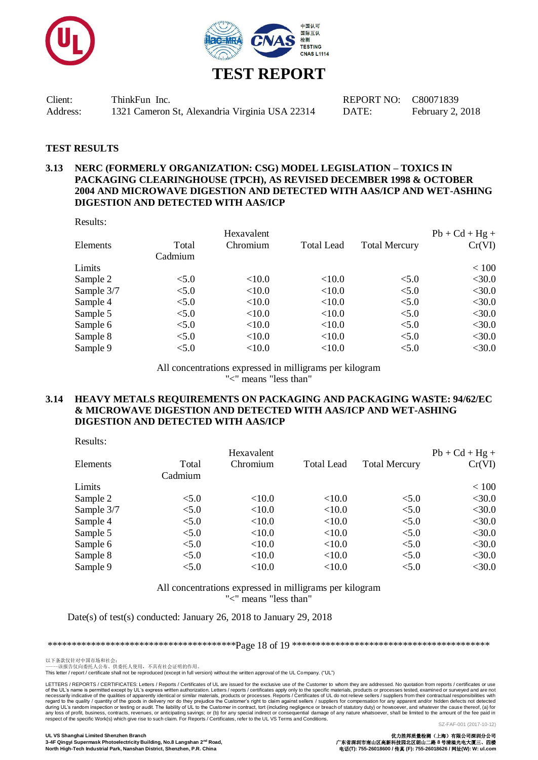



#### **TEST RESULTS**

#### **3.13 NERC (FORMERLY ORGANIZATION: CSG) MODEL LEGISLATION – TOXICS IN PACKAGING CLEARINGHOUSE (TPCH), AS REVISED DECEMBER 1998 & OCTOBER 2004 AND MICROWAVE DIGESTION AND DETECTED WITH AAS/ICP AND WET-ASHING DIGESTION AND DETECTED WITH AAS/ICP**

Results:

|         | Hexavalent |                   |                      | $Pb + Cd + Hg +$ |
|---------|------------|-------------------|----------------------|------------------|
| Total   | Chromium   | <b>Total Lead</b> | <b>Total Mercury</b> | Cr(VI)           |
| Cadmium |            |                   |                      |                  |
|         |            |                   |                      | < 100            |
| < 5.0   | < 10.0     | <10.0             | < 5.0                | $<$ 30.0         |
| < 5.0   | <10.0      | <10.0             | < 5.0                | $<$ 30.0         |
| < 5.0   | <10.0      | <10.0             | < 5.0                | $<$ 30.0         |
| < 5.0   | <10.0      | <10.0             | < 5.0                | $<$ 30.0         |
| < 5.0   | <10.0      | <10.0             | < 5.0                | $<$ 30.0         |
| < 5.0   | <10.0      | <10.0             | < 5.0                | $<$ 30.0         |
| < 5.0   | <10.0      | <10.0             | < 5.0                | $<$ 30.0         |
|         |            |                   |                      |                  |

All concentrations expressed in milligrams per kilogram "<" means "less than"

#### **3.14 HEAVY METALS REQUIREMENTS ON PACKAGING AND PACKAGING WASTE: 94/62/EC & MICROWAVE DIGESTION AND DETECTED WITH AAS/ICP AND WET-ASHING DIGESTION AND DETECTED WITH AAS/ICP**

Results:

|            |         | Hexavalent |                   |                      | $Pb + Cd + Hg +$ |
|------------|---------|------------|-------------------|----------------------|------------------|
| Elements   | Total   | Chromium   | <b>Total Lead</b> | <b>Total Mercury</b> | Cr(VI)           |
|            | Cadmium |            |                   |                      |                  |
| Limits     |         |            |                   |                      | < 100            |
| Sample 2   | < 5.0   | < 10.0     | < 10.0            | < 5.0                | $<$ 30.0         |
| Sample 3/7 | < 5.0   | <10.0      | <10.0             | < 5.0                | $<$ 30.0         |
| Sample 4   | < 5.0   | <10.0      | <10.0             | < 5.0                | $<$ 30.0         |
| Sample 5   | < 5.0   | <10.0      | <10.0             | < 5.0                | $<$ 30.0         |
| Sample 6   | < 5.0   | < 10.0     | <10.0             | < 5.0                | $<$ 30.0         |
| Sample 8   | < 5.0   | <10.0      | <10.0             | < 5.0                | $<$ 30.0         |
| Sample 9   | < 5.0   | <10.0      | <10.0             | < 5.0                | $<$ 30.0         |
|            |         |            |                   |                      |                  |

All concentrations expressed in milligrams per kilogram

"<" means "less than"

Date(s) of test(s) conducted: January 26, 2018 to January 29, 2018

\*\*\*\*\*\*\*\*\*\*\*\*\*\*\*\*\*\*\*\*\*\*\*\*\*\*\*\*\*\*\*\*\*\*\*\*\*\*\*Page 18 of 19 \*\*\*\*\*\*\*\*\*\*\*\*\*\*\*\*\*\*\*\*\*\*\*\*\*\*\*\*\*\*\*\*\*\*\*\*\*\*\*\*\*

以下条款仅针对中国市场和社会:<br>-----该报告仅向委托人公布、供委托人使用,不具有社会证明的作用。

This letter / report / certificate shall not be reproduced (except in full version) without the written approval of the UL Company. ("UL")

LETTERS / REPORTS / CERTIFICATES: Letters / Reports / Certificates of UL are issued for the exclusive use of the Customer to whom they are addressed. No quotation from reports / certificates or use<br>of the UL's name is perm of the UL's name is permitted except by UL's express written authorization. Letters / reports / certificates apply only to the specific materials, products or processes tested, examined or surveyed and are not respective o

**UL VS Shanghai Limited Shenzhen Branch** 优力胜邦质量检测(上海)有限公司深圳分公司 3-4F Qingyi Supermask Photoelectricity Building, No.8 Langshan 2<sup>nd</sup> Road,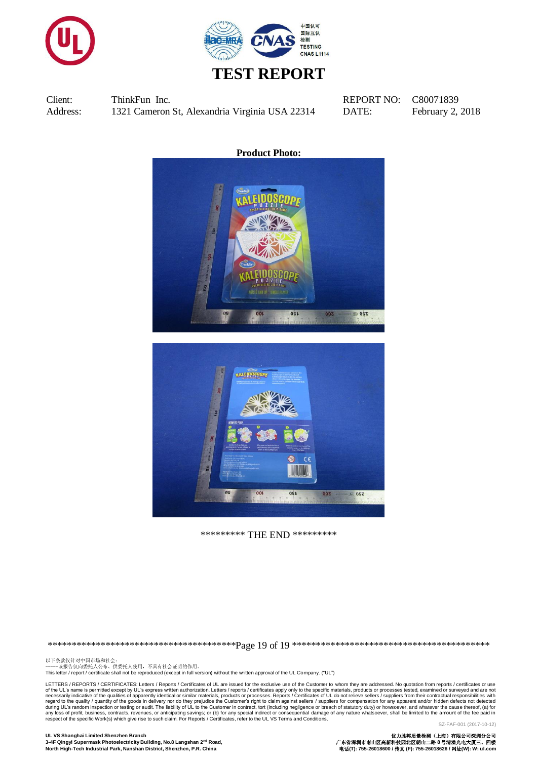



**Product Photo:**





\*\*\*\*\*\*\*\*\* THE END \*\*\*\*\*\*\*\*\*

\*\*\*\*\*\*\*\*\*\*\*\*\*\*\*\*\*\*\*\*\*\*\*\*\*\*\*\*\*\*\*\*\*\*\*\*\*\*\*Page 19 of 19 \*\*\*\*\*\*\*\*\*\*\*\*\*\*\*\*\*\*\*\*\*\*\*\*\*\*\*\*\*\*\*\*\*\*\*\*\*\*\*\*\*

以下条款仅针对中国市场和社会:<br>-----该报告仅向委托人公布、供委托人使用,不具有社会证明的作用。

This letter / report / certificate shall not be reproduced (except in full version) without the written approval of the UL Company. ("UL")

LETTERS / REPORTS / CERTIFICATES: Letters / Reports / Certificates of UL are issued for the exclusive use of the Customer to whom they are addressed. No quotation from reports / certificates or use of the UL's name is permitted except by UL's express written authorization. Letters / reports / certificates apply only to the specific materials, products or processes tested, examined or surveyed and are not respective o SZ-FAF-001 (2017-10-12)

#### **UL VS Shanghai Limited Shenzhen Branch** 优力胜邦质量检测(上海)有限公司深圳分公司 3-4F Qingyi Supermask Photoelectricity Building, No.8 Langshan 2<sup>nd</sup> Road, **North High-Tech Industrial Park, Nanshan District, Shenzhen, P.R. China** 电话**(T): 755-26018600 /** 传真 **(F): 755-26018626 /** 网址**(W): W: ul.com**